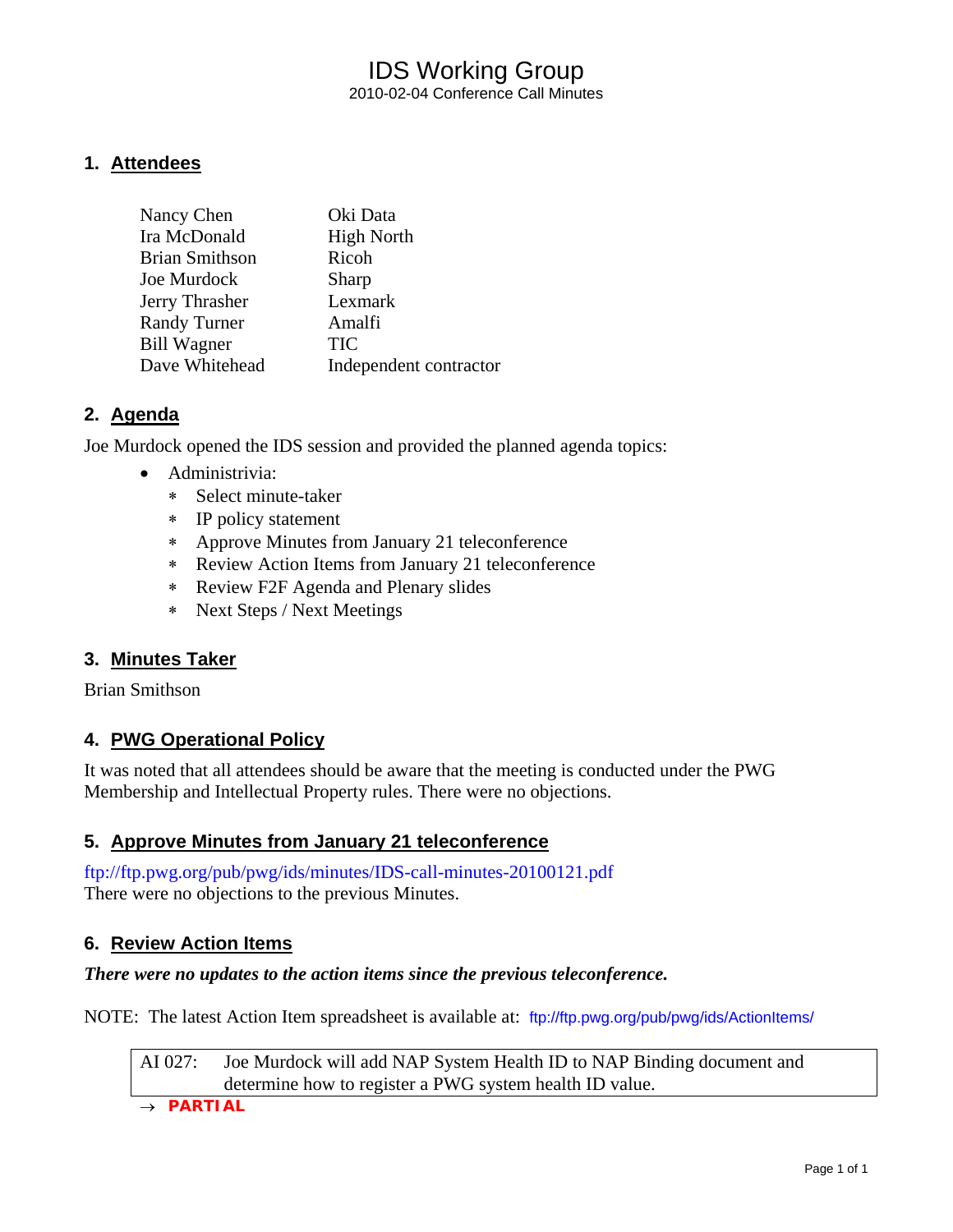## IDS Working Group 2010-02-04 Conference Call Minutes

### **1. Attendees**

| Nancy Chen            | Oki Data               |
|-----------------------|------------------------|
| Ira McDonald          | <b>High North</b>      |
| <b>Brian Smithson</b> | Ricoh                  |
| Joe Murdock           | Sharp                  |
| Jerry Thrasher        | Lexmark                |
| <b>Randy Turner</b>   | Amalfi                 |
| <b>Bill Wagner</b>    | <b>TIC</b>             |
| Dave Whitehead        | Independent contractor |

### **2. Agenda**

Joe Murdock opened the IDS session and provided the planned agenda topics:

- Administrivia:
	- ∗ Select minute-taker
	- ∗ IP policy statement
	- ∗ Approve Minutes from January 21 teleconference
	- ∗ Review Action Items from January 21 teleconference
	- ∗ Review F2F Agenda and Plenary slides
	- ∗ Next Steps / Next Meetings

### **3. Minutes Taker**

Brian Smithson

### **4. PWG Operational Policy**

It was noted that all attendees should be aware that the meeting is conducted under the PWG Membership and Intellectual Property rules. There were no objections.

### **5. Approve Minutes from January 21 teleconference**

<ftp://ftp.pwg.org/pub/pwg/ids/minutes/IDS-call-minutes-20100121.pdf> There were no objections to the previous Minutes.

### **6. Review Action Items**

#### *There were no updates to the action items since the previous teleconference.*

NOTE: The latest Action Item spreadsheet is available at: <ftp://ftp.pwg.org/pub/pwg/ids/ActionItems/>

AI 027: Joe Murdock will add NAP System Health ID to NAP Binding document and determine how to register a PWG system health ID value.

→ *PARTIAL*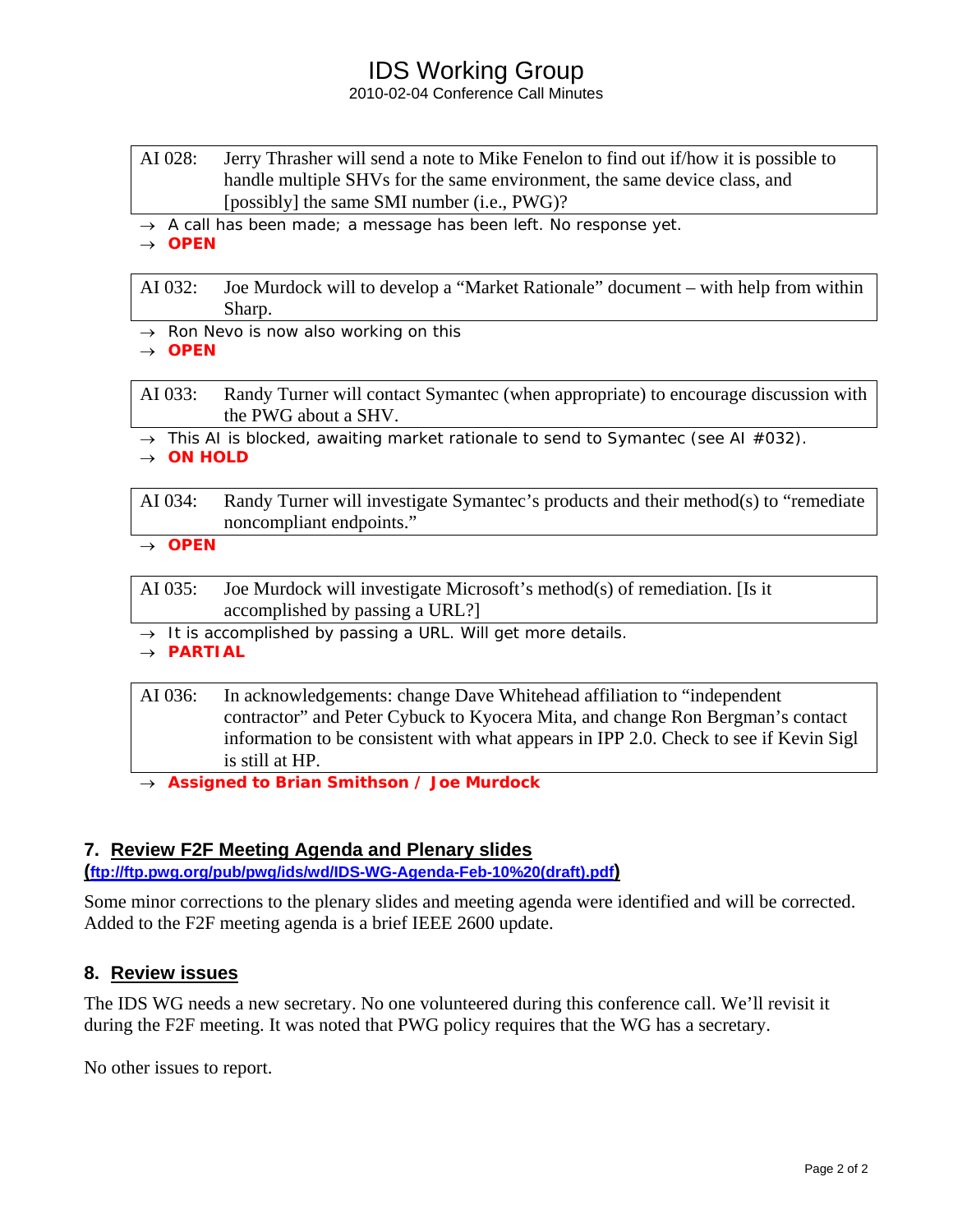# IDS Working Group

#### 2010-02-04 Conference Call Minutes

- AI 028: Jerry Thrasher will send a note to Mike Fenelon to find out if/how it is possible to handle multiple SHVs for the same environment, the same device class, and [possibly] the same SMI number (i.e., PWG)?
- → *A call has been made; a message has been left. No response yet.*

→ *OPEN* 

AI 032: Joe Murdock will to develop a "Market Rationale" document – with help from within Sharp.

→ *Ron Nevo is now also working on this*

→ *OPEN* 

AI 033: Randy Turner will contact Symantec (when appropriate) to encourage discussion with the PWG about a SHV.

→ *This AI is blocked, awaiting market rationale to send to Symantec (see AI #032).*

→ *ON HOLD* 

AI 034: Randy Turner will investigate Symantec's products and their method(s) to "remediate noncompliant endpoints."

→ *OPEN* 

- AI 035: Joe Murdock will investigate Microsoft's method(s) of remediation. [Is it accomplished by passing a URL?]
- → *It is accomplished by passing a URL. Will get more details.*

→ *PARTIAL* 

| AI 036: | In acknowledgements: change Dave Whitehead affiliation to "independent"               |  |
|---------|---------------------------------------------------------------------------------------|--|
|         | contractor" and Peter Cybuck to Kyocera Mita, and change Ron Bergman's contact        |  |
|         | information to be consistent with what appears in IPP 2.0. Check to see if Kevin Sigl |  |
|         | is still at HP.                                                                       |  |

→ *Assigned to Brian Smithson / Joe Murdock* 

### **7. Review F2F Meeting Agenda and Plenary slides**

**([ftp://ftp.pwg.org/pub/pwg/ids/wd/IDS-WG-Agenda-Feb-10%20\(draft\).pdf\)](ftp://ftp.pwg.org/pub/pwg/ids/wd/IDS-WG-Agenda-Feb-10%20%28draft%29.pdf)**

Some minor corrections to the plenary slides and meeting agenda were identified and will be corrected. Added to the F2F meeting agenda is a brief IEEE 2600 update.

### **8. Review issues**

The IDS WG needs a new secretary. No one volunteered during this conference call. We'll revisit it during the F2F meeting. It was noted that PWG policy requires that the WG has a secretary.

No other issues to report.